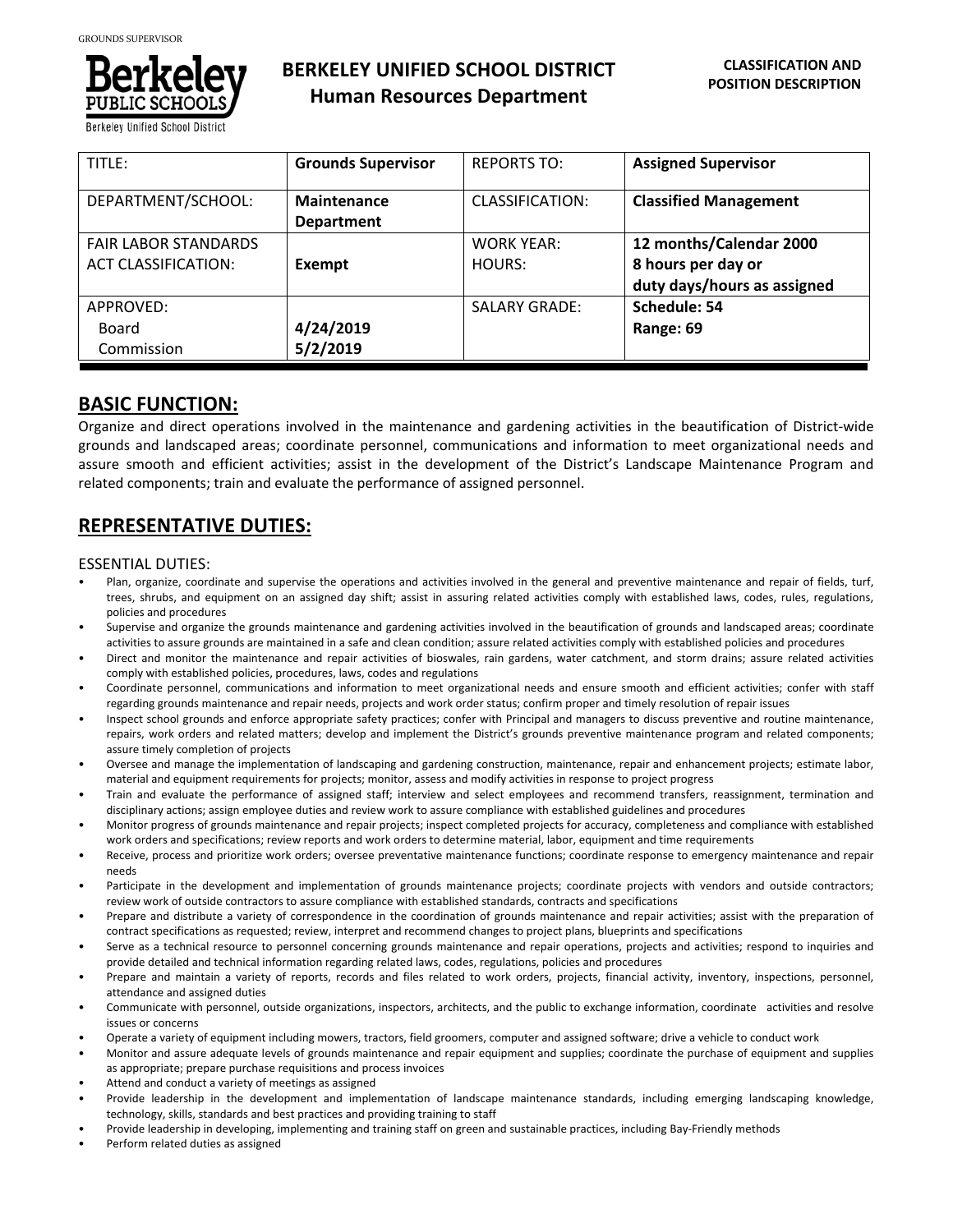

**Berkeley Unified School District** 

| TITLE:                      | <b>Grounds Supervisor</b> | <b>REPORTS TO:</b>   | <b>Assigned Supervisor</b>   |
|-----------------------------|---------------------------|----------------------|------------------------------|
| DEPARTMENT/SCHOOL:          | <b>Maintenance</b>        | CLASSIFICATION:      | <b>Classified Management</b> |
|                             | <b>Department</b>         |                      |                              |
| <b>FAIR LABOR STANDARDS</b> |                           | <b>WORK YEAR:</b>    | 12 months/Calendar 2000      |
| <b>ACT CLASSIFICATION:</b>  | Exempt                    | HOURS:               | 8 hours per day or           |
|                             |                           |                      | duty days/hours as assigned  |
| APPROVED:                   |                           | <b>SALARY GRADE:</b> | Schedule: 54                 |
| Board                       | 4/24/2019                 |                      | Range: 69                    |
| Commission                  | 5/2/2019                  |                      |                              |

## **BASIC FUNCTION:**

Organize and direct operations involved in the maintenance and gardening activities in the beautification of District‐wide grounds and landscaped areas; coordinate personnel, communications and information to meet organizational needs and assure smooth and efficient activities; assist in the development of the District's Landscape Maintenance Program and related components; train and evaluate the performance of assigned personnel.

## **REPRESENTATIVE DUTIES:**

#### ESSENTIAL DUTIES:

- Plan, organize, coordinate and supervise the operations and activities involved in the general and preventive maintenance and repair of fields, turf, trees, shrubs, and equipment on an assigned day shift; assist in assuring related activities comply with established laws, codes, rules, regulations, policies and procedures
- Supervise and organize the grounds maintenance and gardening activities involved in the beautification of grounds and landscaped areas; coordinate activities to assure grounds are maintained in a safe and clean condition; assure related activities comply with established policies and procedures
- Direct and monitor the maintenance and repair activities of bioswales, rain gardens, water catchment, and storm drains; assure related activities comply with established policies, procedures, laws, codes and regulations
- Coordinate personnel, communications and information to meet organizational needs and ensure smooth and efficient activities; confer with staff regarding grounds maintenance and repair needs, projects and work order status; confirm proper and timely resolution of repair issues
- Inspect school grounds and enforce appropriate safety practices; confer with Principal and managers to discuss preventive and routine maintenance, repairs, work orders and related matters; develop and implement the District's grounds preventive maintenance program and related components; assure timely completion of projects
- Oversee and manage the implementation of landscaping and gardening construction, maintenance, repair and enhancement projects; estimate labor, material and equipment requirements for projects; monitor, assess and modify activities in response to project progress
- Train and evaluate the performance of assigned staff; interview and select employees and recommend transfers, reassignment, termination and disciplinary actions; assign employee duties and review work to assure compliance with established guidelines and procedures
- Monitor progress of grounds maintenance and repair projects; inspect completed projects for accuracy, completeness and compliance with established work orders and specifications; review reports and work orders to determine material, labor, equipment and time requirements
- Receive, process and prioritize work orders; oversee preventative maintenance functions; coordinate response to emergency maintenance and repair needs
- Participate in the development and implementation of grounds maintenance projects; coordinate projects with vendors and outside contractors; review work of outside contractors to assure compliance with established standards, contracts and specifications
- Prepare and distribute a variety of correspondence in the coordination of grounds maintenance and repair activities; assist with the preparation of contract specifications as requested; review, interpret and recommend changes to project plans, blueprints and specifications
- Serve as a technical resource to personnel concerning grounds maintenance and repair operations, projects and activities; respond to inquiries and provide detailed and technical information regarding related laws, codes, regulations, policies and procedures
- Prepare and maintain a variety of reports, records and files related to work orders, projects, financial activity, inventory, inspections, personnel, attendance and assigned duties
- Communicate with personnel, outside organizations, inspectors, architects, and the public to exchange information, coordinate activities and resolve issues or concerns
- Operate a variety of equipment including mowers, tractors, field groomers, computer and assigned software; drive a vehicle to conduct work
- Monitor and assure adequate levels of grounds maintenance and repair equipment and supplies; coordinate the purchase of equipment and supplies as appropriate; prepare purchase requisitions and process invoices
- Attend and conduct a variety of meetings as assigned
- Provide leadership in the development and implementation of landscape maintenance standards, including emerging landscaping knowledge, technology, skills, standards and best practices and providing training to staff
- Provide leadership in developing, implementing and training staff on green and sustainable practices, including Bay‐Friendly methods
- Perform related duties as assigned